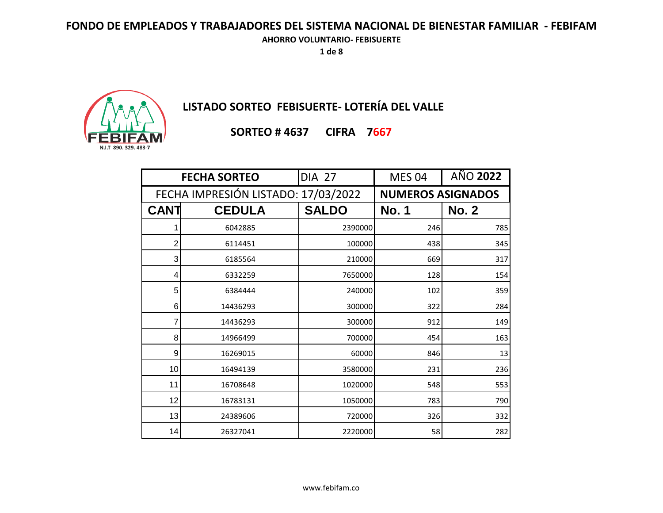**1 de 8**



**LISTADO SORTEO FEBISUERTE- LOTERÍA DEL VALLE**

**SORTEO # 4637 CIFRA 7667**

| <b>FECHA SORTEO</b>                 |               | <b>DIA 27</b> | <b>MES 04</b>            | AÑO 2022     |              |
|-------------------------------------|---------------|---------------|--------------------------|--------------|--------------|
| FECHA IMPRESIÓN LISTADO: 17/03/2022 |               |               | <b>NUMEROS ASIGNADOS</b> |              |              |
| <b>CANT</b>                         | <b>CEDULA</b> |               | <b>SALDO</b>             | <b>No. 1</b> | <b>No. 2</b> |
| 1                                   | 6042885       |               | 2390000                  | 246          | 785          |
| $\overline{2}$                      | 6114451       |               | 100000                   | 438          | 345          |
| 3                                   | 6185564       |               | 210000                   | 669          | 317          |
| 4                                   | 6332259       |               | 7650000                  | 128          | 154          |
| 5                                   | 6384444       |               | 240000                   | 102          | 359          |
| 6                                   | 14436293      |               | 300000                   | 322          | 284          |
| 7                                   | 14436293      |               | 300000                   | 912          | 149          |
| 8                                   | 14966499      |               | 700000                   | 454          | 163          |
| 9                                   | 16269015      |               | 60000                    | 846          | 13           |
| 10                                  | 16494139      |               | 3580000                  | 231          | 236          |
| 11                                  | 16708648      |               | 1020000                  | 548          | 553          |
| 12                                  | 16783131      |               | 1050000                  | 783          | 790          |
| 13                                  | 24389606      |               | 720000                   | 326          | 332          |
| 14                                  | 26327041      |               | 2220000                  | 58           | 282          |

www.febifam.co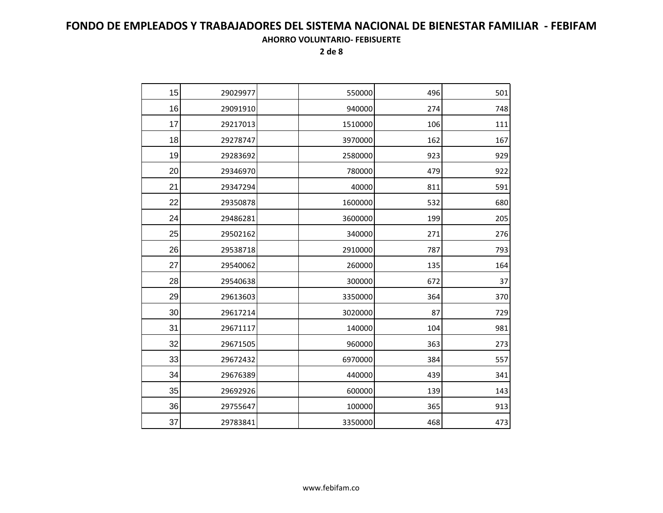| 15 | 29029977 | 550000  | 496 | 501 |
|----|----------|---------|-----|-----|
| 16 | 29091910 | 940000  | 274 | 748 |
| 17 | 29217013 | 1510000 | 106 | 111 |
| 18 | 29278747 | 3970000 | 162 | 167 |
| 19 | 29283692 | 2580000 | 923 | 929 |
| 20 | 29346970 | 780000  | 479 | 922 |
| 21 | 29347294 | 40000   | 811 | 591 |
| 22 | 29350878 | 1600000 | 532 | 680 |
| 24 | 29486281 | 3600000 | 199 | 205 |
| 25 | 29502162 | 340000  | 271 | 276 |
| 26 | 29538718 | 2910000 | 787 | 793 |
| 27 | 29540062 | 260000  | 135 | 164 |
| 28 | 29540638 | 300000  | 672 | 37  |
| 29 | 29613603 | 3350000 | 364 | 370 |
| 30 | 29617214 | 3020000 | 87  | 729 |
| 31 | 29671117 | 140000  | 104 | 981 |
| 32 | 29671505 | 960000  | 363 | 273 |
| 33 | 29672432 | 6970000 | 384 | 557 |
| 34 | 29676389 | 440000  | 439 | 341 |
| 35 | 29692926 | 600000  | 139 | 143 |
| 36 | 29755647 | 100000  | 365 | 913 |
| 37 | 29783841 | 3350000 | 468 | 473 |
|    |          |         |     |     |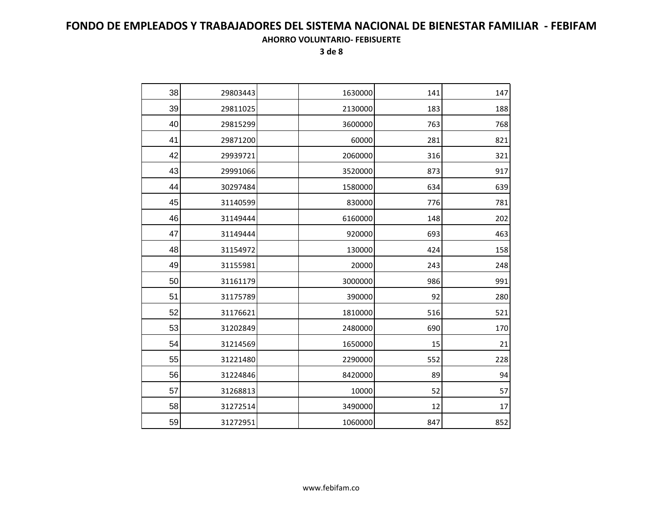| 38 | 29803443 | 1630000 | 141 | 147 |
|----|----------|---------|-----|-----|
| 39 | 29811025 | 2130000 | 183 | 188 |
| 40 | 29815299 | 3600000 | 763 | 768 |
| 41 | 29871200 | 60000   | 281 | 821 |
| 42 | 29939721 | 2060000 | 316 | 321 |
| 43 | 29991066 | 3520000 | 873 | 917 |
| 44 | 30297484 | 1580000 | 634 | 639 |
| 45 | 31140599 | 830000  | 776 | 781 |
| 46 | 31149444 | 6160000 | 148 | 202 |
| 47 | 31149444 | 920000  | 693 | 463 |
| 48 | 31154972 | 130000  | 424 | 158 |
| 49 | 31155981 | 20000   | 243 | 248 |
| 50 | 31161179 | 3000000 | 986 | 991 |
| 51 | 31175789 | 390000  | 92  | 280 |
| 52 | 31176621 | 1810000 | 516 | 521 |
| 53 | 31202849 | 2480000 | 690 | 170 |
| 54 | 31214569 | 1650000 | 15  | 21  |
| 55 | 31221480 | 2290000 | 552 | 228 |
| 56 | 31224846 | 8420000 | 89  | 94  |
| 57 | 31268813 | 10000   | 52  | 57  |
| 58 | 31272514 | 3490000 | 12  | 17  |
| 59 | 31272951 | 1060000 | 847 | 852 |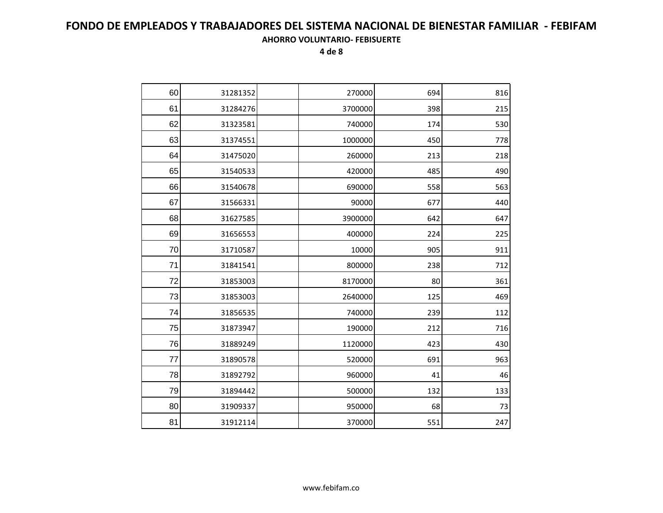| 60 | 31281352 | 270000  | 694 | 816 |
|----|----------|---------|-----|-----|
| 61 | 31284276 | 3700000 | 398 | 215 |
| 62 | 31323581 | 740000  | 174 | 530 |
| 63 | 31374551 | 1000000 | 450 | 778 |
| 64 | 31475020 | 260000  | 213 | 218 |
| 65 | 31540533 | 420000  | 485 | 490 |
| 66 | 31540678 | 690000  | 558 | 563 |
| 67 | 31566331 | 90000   | 677 | 440 |
| 68 | 31627585 | 3900000 | 642 | 647 |
| 69 | 31656553 | 400000  | 224 | 225 |
| 70 | 31710587 | 10000   | 905 | 911 |
| 71 | 31841541 | 800000  | 238 | 712 |
| 72 | 31853003 | 8170000 | 80  | 361 |
| 73 | 31853003 | 2640000 | 125 | 469 |
| 74 | 31856535 | 740000  | 239 | 112 |
| 75 | 31873947 | 190000  | 212 | 716 |
| 76 | 31889249 | 1120000 | 423 | 430 |
| 77 | 31890578 | 520000  | 691 | 963 |
| 78 | 31892792 | 960000  | 41  | 46  |
| 79 | 31894442 | 500000  | 132 | 133 |
| 80 | 31909337 | 950000  | 68  | 73  |
| 81 | 31912114 | 370000  | 551 | 247 |
|    |          |         |     |     |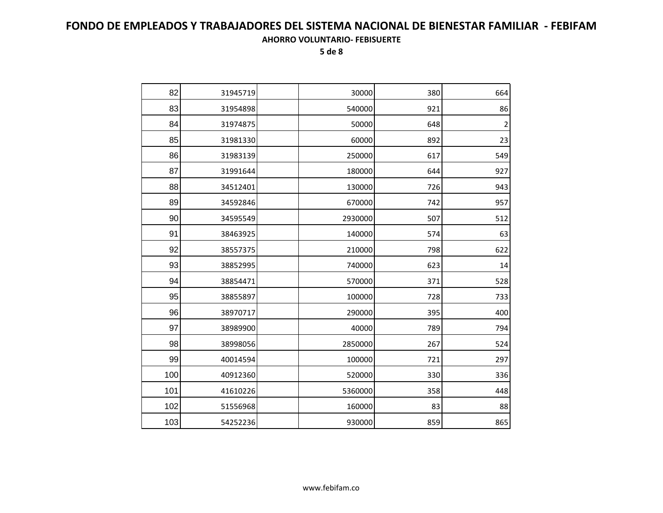| 82  | 31945719 | 30000   | 380 | 664                     |
|-----|----------|---------|-----|-------------------------|
| 83  | 31954898 | 540000  | 921 | 86                      |
| 84  | 31974875 | 50000   | 648 | $\overline{\mathbf{c}}$ |
| 85  | 31981330 | 60000   | 892 | 23                      |
| 86  | 31983139 | 250000  | 617 | 549                     |
| 87  | 31991644 | 180000  | 644 | 927                     |
| 88  | 34512401 | 130000  | 726 | 943                     |
| 89  | 34592846 | 670000  | 742 | 957                     |
| 90  | 34595549 | 2930000 | 507 | 512                     |
| 91  | 38463925 | 140000  | 574 | 63                      |
| 92  | 38557375 | 210000  | 798 | 622                     |
| 93  | 38852995 | 740000  | 623 | 14                      |
| 94  | 38854471 | 570000  | 371 | 528                     |
| 95  | 38855897 | 100000  | 728 | 733                     |
| 96  | 38970717 | 290000  | 395 | 400                     |
| 97  | 38989900 | 40000   | 789 | 794                     |
| 98  | 38998056 | 2850000 | 267 | 524                     |
| 99  | 40014594 | 100000  | 721 | 297                     |
| 100 | 40912360 | 520000  | 330 | 336                     |
| 101 | 41610226 | 5360000 | 358 | 448                     |
| 102 | 51556968 | 160000  | 83  | 88                      |
| 103 | 54252236 | 930000  | 859 | 865                     |
|     |          |         |     |                         |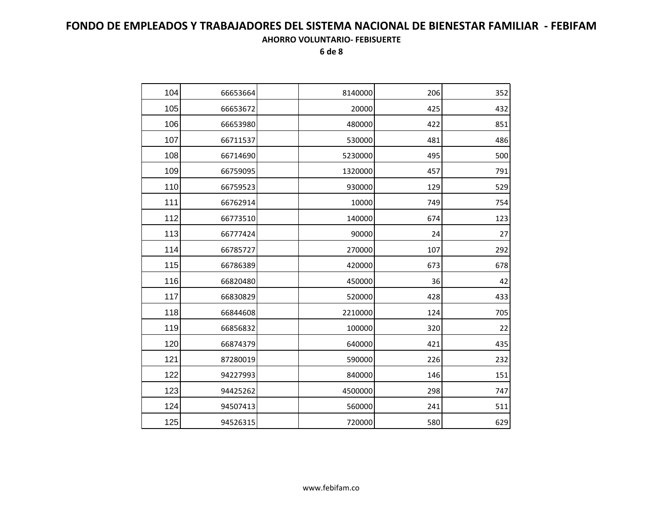| 104 | 66653664 | 8140000 | 206 | 352 |
|-----|----------|---------|-----|-----|
| 105 | 66653672 | 20000   | 425 | 432 |
| 106 | 66653980 | 480000  | 422 | 851 |
| 107 | 66711537 | 530000  | 481 | 486 |
| 108 | 66714690 | 5230000 | 495 | 500 |
| 109 | 66759095 | 1320000 | 457 | 791 |
| 110 | 66759523 | 930000  | 129 | 529 |
| 111 | 66762914 | 10000   | 749 | 754 |
| 112 | 66773510 | 140000  | 674 | 123 |
| 113 | 66777424 | 90000   | 24  | 27  |
| 114 | 66785727 | 270000  | 107 | 292 |
| 115 | 66786389 | 420000  | 673 | 678 |
| 116 | 66820480 | 450000  | 36  | 42  |
| 117 | 66830829 | 520000  | 428 | 433 |
| 118 | 66844608 | 2210000 | 124 | 705 |
| 119 | 66856832 | 100000  | 320 | 22  |
| 120 | 66874379 | 640000  | 421 | 435 |
| 121 | 87280019 | 590000  | 226 | 232 |
| 122 | 94227993 | 840000  | 146 | 151 |
| 123 | 94425262 | 4500000 | 298 | 747 |
| 124 | 94507413 | 560000  | 241 | 511 |
| 125 | 94526315 | 720000  | 580 | 629 |
|     |          |         |     |     |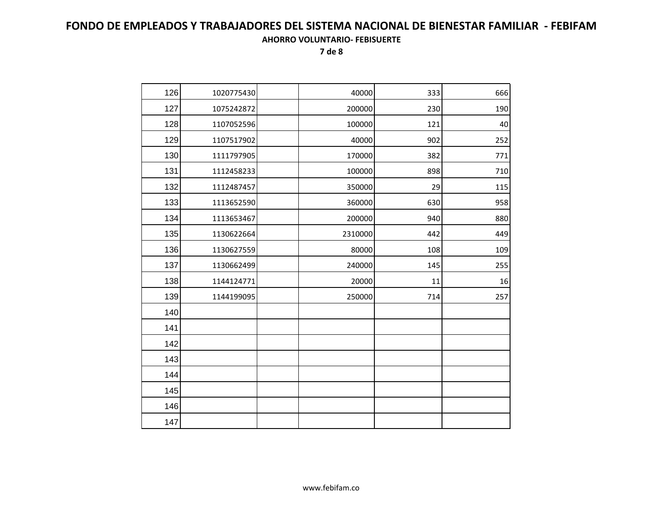| 126 | 1020775430 | 40000   | 333 | 666 |
|-----|------------|---------|-----|-----|
| 127 | 1075242872 | 200000  | 230 | 190 |
| 128 | 1107052596 | 100000  | 121 | 40  |
| 129 | 1107517902 | 40000   | 902 | 252 |
| 130 | 1111797905 | 170000  | 382 | 771 |
| 131 | 1112458233 | 100000  | 898 | 710 |
| 132 | 1112487457 | 350000  | 29  | 115 |
| 133 | 1113652590 | 360000  | 630 | 958 |
| 134 | 1113653467 | 200000  | 940 | 880 |
| 135 | 1130622664 | 2310000 | 442 | 449 |
| 136 | 1130627559 | 80000   | 108 | 109 |
| 137 | 1130662499 | 240000  | 145 | 255 |
| 138 | 1144124771 | 20000   | 11  | 16  |
| 139 | 1144199095 | 250000  | 714 | 257 |
| 140 |            |         |     |     |
| 141 |            |         |     |     |
| 142 |            |         |     |     |
| 143 |            |         |     |     |
| 144 |            |         |     |     |
| 145 |            |         |     |     |
| 146 |            |         |     |     |
| 147 |            |         |     |     |